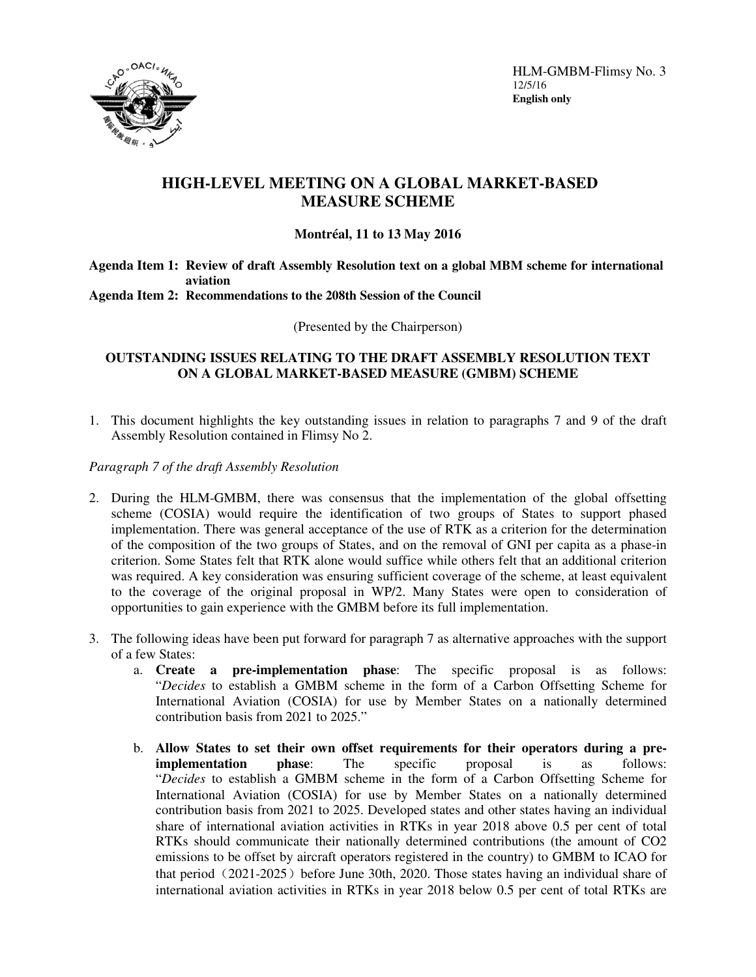

HLM-GMBM-Flimsy No. 3 12/5/16 **English only**

# **HIGH-LEVEL MEETING ON A GLOBAL MARKET-BASED MEASURE SCHEME**

## **Montréal, 11 to 13 May 2016**

#### **Agenda Item 1: Review of draft Assembly Resolution text on a global MBM scheme for international aviation Agenda Item 2: Recommendations to the 208th Session of the Council**

(Presented by the Chairperson)

## **OUTSTANDING ISSUES RELATING TO THE DRAFT ASSEMBLY RESOLUTION TEXT ON A GLOBAL MARKET-BASED MEASURE (GMBM) SCHEME**

1. This document highlights the key outstanding issues in relation to paragraphs 7 and 9 of the draft Assembly Resolution contained in Flimsy No 2.

### *Paragraph 7 of the draft Assembly Resolution*

- 2. During the HLM-GMBM, there was consensus that the implementation of the global offsetting scheme (COSIA) would require the identification of two groups of States to support phased implementation. There was general acceptance of the use of RTK as a criterion for the determination of the composition of the two groups of States, and on the removal of GNI per capita as a phase-in criterion. Some States felt that RTK alone would suffice while others felt that an additional criterion was required. A key consideration was ensuring sufficient coverage of the scheme, at least equivalent to the coverage of the original proposal in WP/2. Many States were open to consideration of opportunities to gain experience with the GMBM before its full implementation.
- 3. The following ideas have been put forward for paragraph 7 as alternative approaches with the support of a few States:
	- a. **Create a pre-implementation phase**: The specific proposal is as follows: "*Decides* to establish a GMBM scheme in the form of a Carbon Offsetting Scheme for International Aviation (COSIA) for use by Member States on a nationally determined contribution basis from 2021 to 2025."
	- b. **Allow States to set their own offset requirements for their operators during a preimplementation phase**: The specific proposal is as follows: "*Decides* to establish a GMBM scheme in the form of a Carbon Offsetting Scheme for International Aviation (COSIA) for use by Member States on a nationally determined contribution basis from 2021 to 2025. Developed states and other states having an individual share of international aviation activities in RTKs in year 2018 above 0.5 per cent of total RTKs should communicate their nationally determined contributions (the amount of CO2 emissions to be offset by aircraft operators registered in the country) to GMBM to ICAO for that period  $(2021-2025)$  before June 30th, 2020. Those states having an individual share of international aviation activities in RTKs in year 2018 below 0.5 per cent of total RTKs are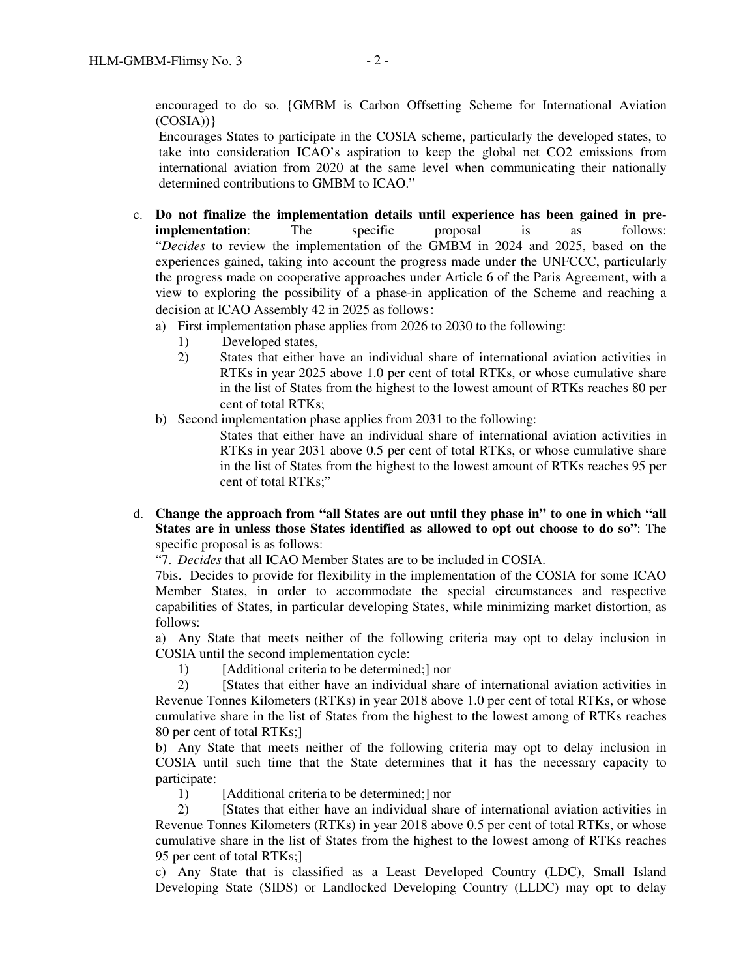encouraged to do so. {GMBM is Carbon Offsetting Scheme for International Aviation  $(COSIA))$ 

Encourages States to participate in the COSIA scheme, particularly the developed states, to take into consideration ICAO's aspiration to keep the global net CO2 emissions from international aviation from 2020 at the same level when communicating their nationally determined contributions to GMBM to ICAO."

- c. **Do not finalize the implementation details until experience has been gained in preimplementation**: The specific proposal is as follows: "*Decides* to review the implementation of the GMBM in 2024 and 2025, based on the experiences gained, taking into account the progress made under the UNFCCC, particularly the progress made on cooperative approaches under Article 6 of the Paris Agreement, with a view to exploring the possibility of a phase-in application of the Scheme and reaching a decision at ICAO Assembly 42 in 2025 as follows:
	- a) First implementation phase applies from 2026 to 2030 to the following:
		- 1) Developed states,
		- 2) States that either have an individual share of international aviation activities in RTKs in year 2025 above 1.0 per cent of total RTKs, or whose cumulative share in the list of States from the highest to the lowest amount of RTKs reaches 80 per cent of total RTKs;
	- b) Second implementation phase applies from 2031 to the following:

States that either have an individual share of international aviation activities in RTKs in year 2031 above 0.5 per cent of total RTKs, or whose cumulative share in the list of States from the highest to the lowest amount of RTKs reaches 95 per cent of total RTKs;"

d. **Change the approach from "all States are out until they phase in" to one in which "all States are in unless those States identified as allowed to opt out choose to do so"**: The specific proposal is as follows:

"7. *Decides* that all ICAO Member States are to be included in COSIA.

7bis. Decides to provide for flexibility in the implementation of the COSIA for some ICAO Member States, in order to accommodate the special circumstances and respective capabilities of States, in particular developing States, while minimizing market distortion, as follows:

a) Any State that meets neither of the following criteria may opt to delay inclusion in COSIA until the second implementation cycle:

1) [Additional criteria to be determined;] nor

2) [States that either have an individual share of international aviation activities in Revenue Tonnes Kilometers (RTKs) in year 2018 above 1.0 per cent of total RTKs, or whose cumulative share in the list of States from the highest to the lowest among of RTKs reaches 80 per cent of total RTKs;]

b) Any State that meets neither of the following criteria may opt to delay inclusion in COSIA until such time that the State determines that it has the necessary capacity to participate:

1) [Additional criteria to be determined;] nor

2) [States that either have an individual share of international aviation activities in Revenue Tonnes Kilometers (RTKs) in year 2018 above 0.5 per cent of total RTKs, or whose cumulative share in the list of States from the highest to the lowest among of RTKs reaches 95 per cent of total RTKs;]

c) Any State that is classified as a Least Developed Country (LDC), Small Island Developing State (SIDS) or Landlocked Developing Country (LLDC) may opt to delay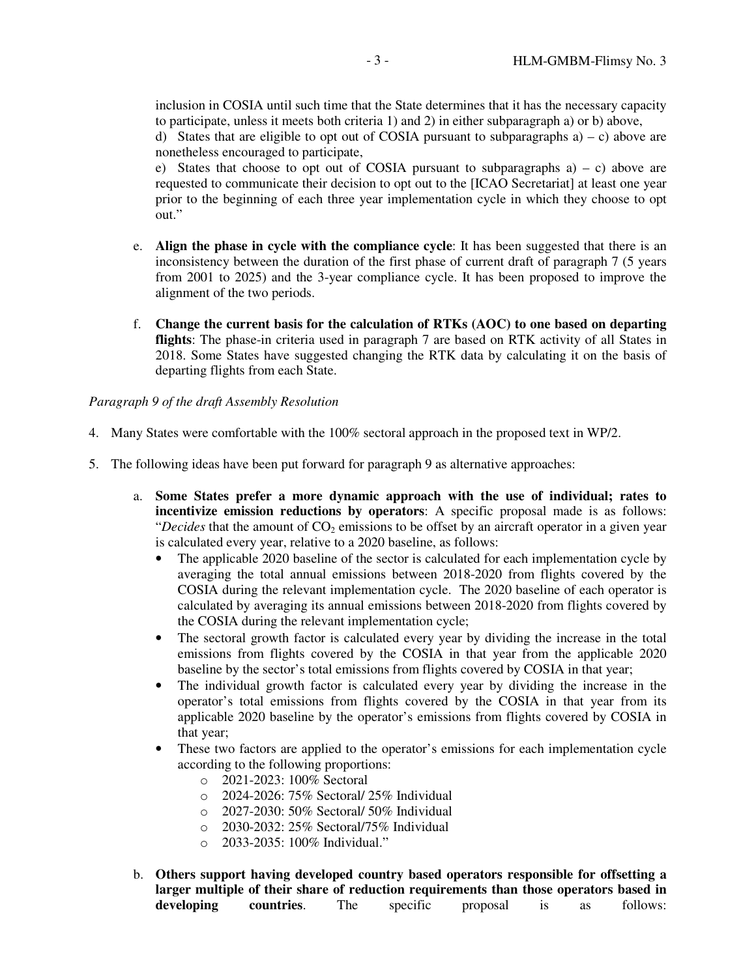inclusion in COSIA until such time that the State determines that it has the necessary capacity to participate, unless it meets both criteria 1) and 2) in either subparagraph a) or b) above,

d) States that are eligible to opt out of COSIA pursuant to subparagraphs  $a$  – c) above are nonetheless encouraged to participate,

e) States that choose to opt out of COSIA pursuant to subparagraphs  $a$  – c) above are requested to communicate their decision to opt out to the [ICAO Secretariat] at least one year prior to the beginning of each three year implementation cycle in which they choose to opt out."

- e. **Align the phase in cycle with the compliance cycle**: It has been suggested that there is an inconsistency between the duration of the first phase of current draft of paragraph 7 (5 years from 2001 to 2025) and the 3-year compliance cycle. It has been proposed to improve the alignment of the two periods.
- f. **Change the current basis for the calculation of RTKs (AOC) to one based on departing flights**: The phase-in criteria used in paragraph 7 are based on RTK activity of all States in 2018. Some States have suggested changing the RTK data by calculating it on the basis of departing flights from each State.

#### *Paragraph 9 of the draft Assembly Resolution*

- 4. Many States were comfortable with the 100% sectoral approach in the proposed text in WP/2.
- 5. The following ideas have been put forward for paragraph 9 as alternative approaches:
	- a. **Some States prefer a more dynamic approach with the use of individual; rates to incentivize emission reductions by operators**: A specific proposal made is as follows: "*Decides* that the amount of CO<sub>2</sub> emissions to be offset by an aircraft operator in a given year is calculated every year, relative to a 2020 baseline, as follows:
		- The applicable 2020 baseline of the sector is calculated for each implementation cycle by averaging the total annual emissions between 2018-2020 from flights covered by the COSIA during the relevant implementation cycle. The 2020 baseline of each operator is calculated by averaging its annual emissions between 2018-2020 from flights covered by the COSIA during the relevant implementation cycle;
		- The sectoral growth factor is calculated every year by dividing the increase in the total emissions from flights covered by the COSIA in that year from the applicable 2020 baseline by the sector's total emissions from flights covered by COSIA in that year;
		- The individual growth factor is calculated every year by dividing the increase in the operator's total emissions from flights covered by the COSIA in that year from its applicable 2020 baseline by the operator's emissions from flights covered by COSIA in that year;
		- These two factors are applied to the operator's emissions for each implementation cycle according to the following proportions:
			- o 2021-2023: 100% Sectoral
			- o 2024-2026: 75% Sectoral/ 25% Individual
			- o 2027-2030: 50% Sectoral/ 50% Individual
			- o 2030-2032: 25% Sectoral/75% Individual
			- o 2033-2035: 100% Individual."
	- b. **Others support having developed country based operators responsible for offsetting a larger multiple of their share of reduction requirements than those operators based in developing countries**. The specific proposal is as follows: